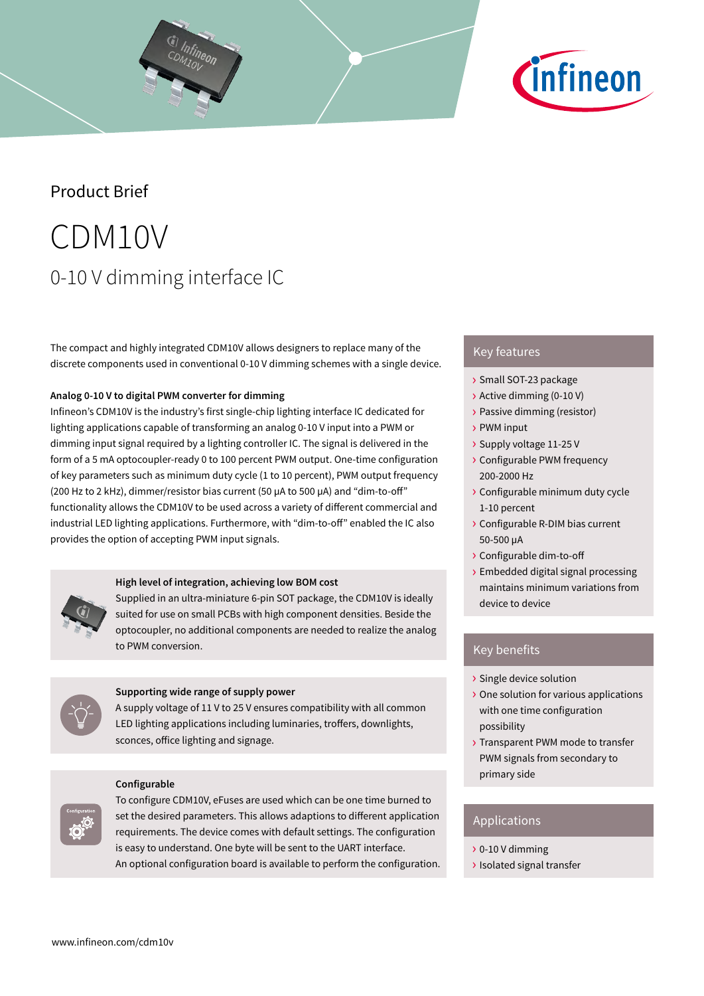



# Product Brief

# CDM10V 0-10 V dimming interface IC

The compact and highly integrated CDM10V allows designers to replace many of the discrete components used in conventional 0-10 V dimming schemes with a single device.

# **Analog 0-10 V to digital PWM converter for dimming**

Infineon's CDM10V is the industry's first single-chip lighting interface IC dedicated for lighting applications capable of transforming an analog 0-10 V input into a PWM or dimming input signal required by a lighting controller IC. The signal is delivered in the form of a 5 mA optocoupler-ready 0 to 100 percent PWM output. One-time configuration of key parameters such as minimum duty cycle (1 to 10 percent), PWM output frequency (200 Hz to 2 kHz), dimmer/resistor bias current (50 µA to 500 µA) and "dim-to-off" functionality allows the CDM10V to be used across a variety of different commercial and industrial LED lighting applications. Furthermore, with "dim-to-off" enabled the IC also provides the option of accepting PWM input signals.



Supplied in an ultra-miniature 6-pin SOT package, the CDM10V is ideally suited for use on small PCBs with high component densities. Beside the optocoupler, no additional components are needed to realize the analog to PWM conversion.



## **Supporting wide range of supply power**

A supply voltage of 11 V to 25 V ensures compatibility with all common LED lighting applications including luminaries, troffers, downlights, sconces, office lighting and signage.

#### **Configurable**

To configure CDM10V, eFuses are used which can be one time burned to set the desired parameters. This allows adaptions to different application requirements. The device comes with default settings. The configuration is easy to understand. One byte will be sent to the UART interface. An optional configuration board is available to perform the configuration.

# Key features

- › Small SOT-23 package
- › Active dimming (0-10 V)
- › Passive dimming (resistor)
- › PWM input
- › Supply voltage 11-25 V
- › Configurable PWM frequency 200-2000 Hz
- › Configurable minimum duty cycle 1-10 percent
- › Configurable R-DIM bias current 50-500 µA
- › Configurable dim-to-off
- › Embedded digital signal processing maintains minimum variations from device to device

# Key benefits

- › Single device solution
- › One solution for various applications with one time configuration possibility
- › Transparent PWM mode to transfer PWM signals from secondary to primary side

# Applications

- › 0-10 V dimming
- › Isolated signal transfer